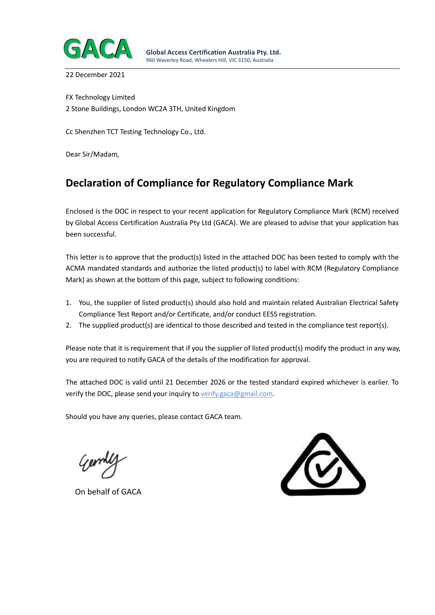

22 December 2021

FX Technology Limited 2 Stone Buildings, London WC2A 3TH, United Kingdom

Cc Shenzhen TCT Testing Technology Co., Ltd.

Dear Sir/Madam,

# **Declaration of Compliance for Regulatory Compliance Mark**

Enclosed is the DOC in respect to your recent application for Regulatory Compliance Mark (RCM) received by Global Access Certification Australia Pty Ltd (GACA). We are pleased to advise that your application has been successful.

This letter is to approve that the product(s) listed in the attached DOC has been tested to comply with the ACMA mandated standards and authorize the listed product(s) to label with RCM (Regulatory Compliance Mark) as shown at the bottom of this page, subject to following conditions:

- 1. You, the supplier of listed product(s) should also hold and maintain related Australian Electrical Safety Compliance Test Report and/or Certificate, and/or conduct EESS registration.
- 2. The supplied product(s) are identical to those described and tested in the compliance test report(s).

Please note that it is requirement that if you the supplier of listed product(s) modify the product in any way, you are required to notify GACA of the details of the modification for approval.

The attached DOC is valid until 21 December 2026 or the tested standard expired whichever is earlier. To verify the DOC, please send your inquiry to verify.gaca@gmail.com.

Should you have any queries, please contact GACA team.

On behalf of GACA

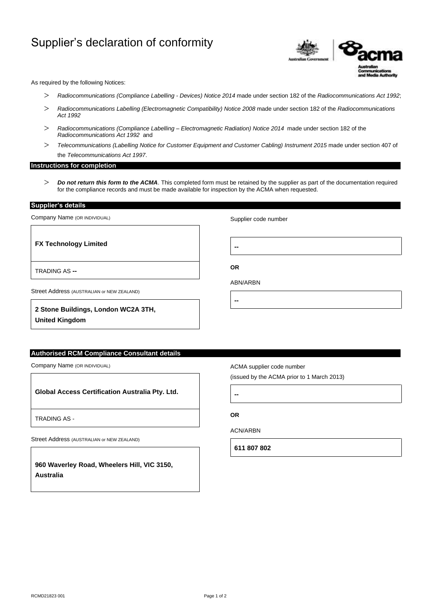# Supplier's declaration of conformity



As required by the following Notices:

- *Radiocommunications (Compliance Labelling - Devices) Notice 2014* made under section 182 of the *Radiocommunications Act 1992*;
- *Radiocommunications Labelling (Electromagnetic Compatibility) Notice 2008* made under section 182 of the *Radiocommunications Act 1992*
- *Radiocommunications (Compliance Labelling – Electromagnetic Radiation) Notice 2014* made under section 182 of the *Radiocommunications Act 1992* and
- *Telecommunications (Labelling Notice for Customer Equipment and Customer Cabling) Instrument 2015* made under section 407 of the *Telecommunications Act 1997*.

### **Instructions for completion**

 *Do not return this form to the ACMA*. This completed form must be retained by the supplier as part of the documentation required for the compliance records and must be made available for inspection by the ACMA when requested.

**Supplier's details** 

TRADING AS **--**

Company Name (OR INDIVIDUAL)

**FX Technology Limited**

Supplier code number

**--**

**OR**

**--**

ABN/ARBN

Street Address (AUSTRALIAN or NEW ZEALAND)

**2 Stone Buildings, London WC2A 3TH, United Kingdom**

## **Authorised RCM Compliance Consultant details**

Company Name (OR INDIVIDUAL)

**Global Access Certification Australia Pty. Ltd.**

TRADING AS -

Street Address (AUSTRALIAN or NEW ZEALAND)

**960 Waverley Road, Wheelers Hill, VIC 3150, Australia**

ACMA supplier code number

(issued by the ACMA prior to 1 March 2013)

**--**

**OR**

ACN/ARBN

**611 807 802**